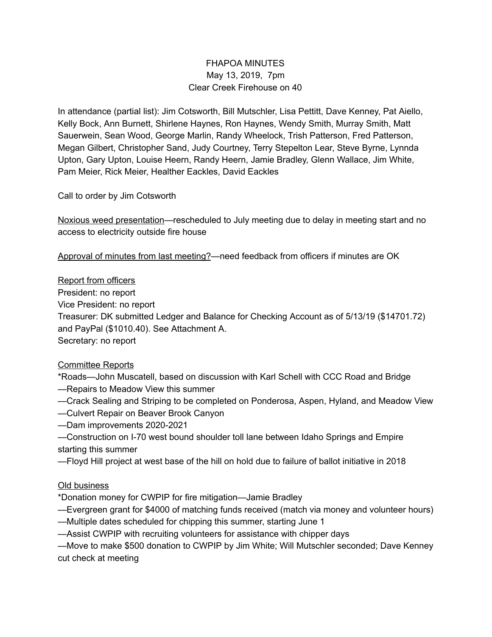# FHAPOA MINUTES May 13, 2019, 7pm Clear Creek Firehouse on 40

In attendance (partial list): Jim Cotsworth, Bill Mutschler, Lisa Pettitt, Dave Kenney, Pat Aiello, Kelly Bock, Ann Burnett, Shirlene Haynes, Ron Haynes, Wendy Smith, Murray Smith, Matt Sauerwein, Sean Wood, George Marlin, Randy Wheelock, Trish Patterson, Fred Patterson, Megan Gilbert, Christopher Sand, Judy Courtney, Terry Stepelton Lear, Steve Byrne, Lynnda Upton, Gary Upton, Louise Heern, Randy Heern, Jamie Bradley, Glenn Wallace, Jim White, Pam Meier, Rick Meier, Healther Eackles, David Eackles

Call to order by Jim Cotsworth

Noxious weed presentation—rescheduled to July meeting due to delay in meeting start and no access to electricity outside fire house

Approval of minutes from last meeting?—need feedback from officers if minutes are OK

Report from officers

President: no report

Vice President: no report

Treasurer: DK submitted Ledger and Balance for Checking Account as of 5/13/19 (\$14701.72) and PayPal (\$1010.40). See Attachment A.

Secretary: no report

# Committee Reports

\*Roads—John Muscatell, based on discussion with Karl Schell with CCC Road and Bridge

- —Repairs to Meadow View this summer
- —Crack Sealing and Striping to be completed on Ponderosa, Aspen, Hyland, and Meadow View
- —Culvert Repair on Beaver Brook Canyon
- —Dam improvements 2020-2021

—Construction on I-70 west bound shoulder toll lane between Idaho Springs and Empire starting this summer

—Floyd Hill project at west base of the hill on hold due to failure of ballot initiative in 2018

### Old business

\*Donation money for CWPIP for fire mitigation—Jamie Bradley

- —Evergreen grant for \$4000 of matching funds received (match via money and volunteer hours)
- —Multiple dates scheduled for chipping this summer, starting June 1
- —Assist CWPIP with recruiting volunteers for assistance with chipper days

—Move to make \$500 donation to CWPIP by Jim White; Will Mutschler seconded; Dave Kenney cut check at meeting